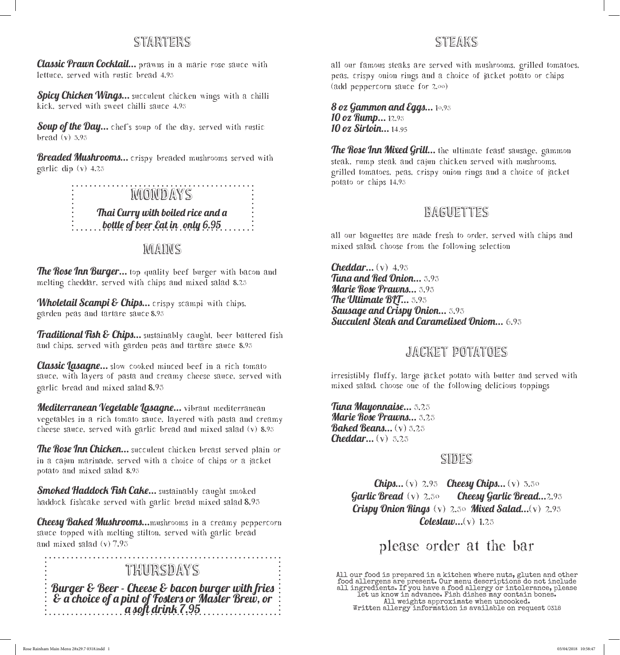### starters

Classic Prawn Cocktail... prawns in a marie rose sauce with lettuce, served with rustic bread 4.95

Spicy Chicken Wings... succulent chicken wings with a chilli kick, served with sweet chilli sauce 4.95

Soup of the Day... chef's soup of the day, served with rustic bread (v) 3.95

**Breaded Mushrooms...** crispy breaded mushrooms served with garlic dip (v) 4.25

# **MONDAYS**

Thai Curry with boiled rice and a  $\dots$  bottle of beer Eat in only 6.95  $\dots$  :

#### **MAINS**

**The Rose Inn Burger...** top quality beef burger with bacon and melting cheddar, served with chips and mixed salad 8.25

Wholetail Scampi & Chips... crispy scampi with chips, garden peas and tartare sauce 8.95

Traditional Fish & Chips... sustainably caught, beer battered fish and chips, served with garden peas and tartare sauce 8.95

**Classic Lasagne...** slow cooked minced beef in a rich tomato sauce, with layers of pasta and creamy cheese sauce, served with garlic bread and mixed salad 8.95

Mediterranean Vegetable Lasagne... vibrant mediterranean vegetables in a rich tomato sauce, layered with pasta and creamy cheese sauce, served with garlic bread and mixed salad (v) 8.95

The Rose Inn Chicken... succulent chicken breast served plain or in a cajun marinade, served with a choice of chips or a jacket potato and mixed salad 8.95

**Smoked Haddock Fish Cake...** sustainably caught smoked haddock fishcake served with garlic bread mixed salad 8.95

**Cheesy Baked Mushrooms...**mushrooms in a creamy peppercorn sauce topped with melting stilton, served with garlic bread and mixed salad (v) 7.95

#### **THURSDAYS**

Burger & Beer - Cheese & bacon burger with fries & a choice of a pint of Fosters or Master Brew, or a soft drink 7.95

## STEAKS

All our famous steaks are served with mushrooms, grilled tomatoes, peas, crispy onion rings and a choice of jacket potato or chips (Add peppercorn sauce for 2.00)

8 oz Gammon and Eggs...  $10.95$ 10 oz Rump... 12.95 10 oz Sirloin... 14.95

**The Rose Inn Mixed Grill...** the ultimate feast! sausage, gammon steak, rump steak and cajun chicken served with mushrooms, grilled tomatoes, peas, crispy onion rings and a choice of jacket potato or chips 14.95

# **BAGUETTES**

All our baguettes are made fresh to order, served with chips and mixed salad. Choose from the following selection

**Cheddar...**  $(v)$  4.95 Tuna and Red Onion... 5.95 Marie Rose Prawns... 5.95 The Ultimate BLT... 5.95 Sausage and Crispy Onion... 5.95 Succulent Steak and Caramelised Oniom... 6.95

#### jacket potatoes

irresistibly fluffy, large jacket potato with butter and served with mixed salad. Choose one of the following delicious toppings

Tuna Mayonnaise... 5.25 Marie Rose Prawns... 5.25 **Baked Beans...** (v) 5.25 **Cheddar...**  $(v)$  5.25

#### **SIDES**

**Chips...** (v)  $2.95$  **Cheesy Chips...** (v)  $3.50$ **Garlic Bread** (v)  $2.5\circ$  **Cheesy Garlic Bread...**2.95 Crispy Onion Rings  $(v)$  2.50 Mixed Salad... $(v)$  2.95 **Coleslaw...** $(v)$  1.25

# Please order at the bar

All our food is prepared in a kitchen where nuts, gluten and other food allergens are present. Our menu descriptions do not include all ingredients. If you have a food allergy or intolerance, please let us know in advance. Fish dishes may contain bones. All weights approximate when uncooked. Written allergy information is available on request 0318